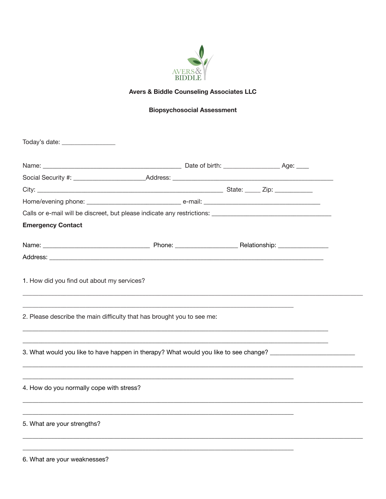

## **Avers & Biddle Counseling Associates LLC**

# **Biopsychosocial Assessment**

| Today's date: __________________                                                                           |  |  |
|------------------------------------------------------------------------------------------------------------|--|--|
|                                                                                                            |  |  |
|                                                                                                            |  |  |
|                                                                                                            |  |  |
|                                                                                                            |  |  |
|                                                                                                            |  |  |
| <b>Emergency Contact</b>                                                                                   |  |  |
|                                                                                                            |  |  |
|                                                                                                            |  |  |
| 2. Please describe the main difficulty that has brought you to see me:                                     |  |  |
| 3. What would you like to have happen in therapy? What would you like to see change? _____________________ |  |  |
| 4. How do you normally cope with stress?                                                                   |  |  |
| 5. What are your strengths?                                                                                |  |  |
|                                                                                                            |  |  |

6. What are your weaknesses?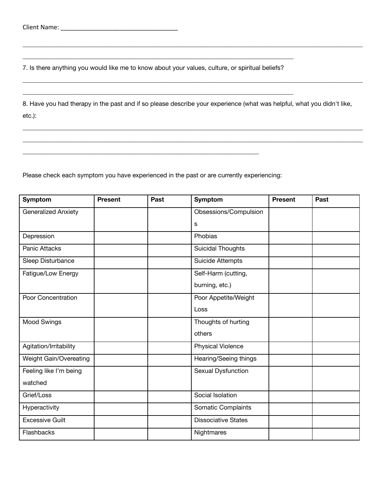7. Is there anything you would like me to know about your values, culture, or spiritual beliefs?

 $\_$  , and the set of the set of the set of the set of the set of the set of the set of the set of the set of the set of the set of the set of the set of the set of the set of the set of the set of the set of the set of th

 $\_$  , and the set of the set of the set of the set of the set of the set of the set of the set of the set of the set of the set of the set of the set of the set of the set of the set of the set of the set of the set of th

8. Have you had therapy in the past and if so please describe your experience (what was helpful, what you didn't like, etc.):

\_\_\_\_\_\_\_\_\_\_\_\_\_\_\_\_\_\_\_\_\_\_\_\_\_\_\_\_\_\_\_\_\_\_\_\_\_\_\_\_\_\_\_\_\_\_\_\_\_\_\_\_\_\_\_\_\_\_\_\_\_\_\_\_\_\_\_\_\_\_\_\_\_\_\_\_\_\_\_\_\_\_\_\_\_\_\_\_\_\_\_\_\_\_\_\_\_\_\_\_\_\_\_\_\_\_\_\_ \_\_\_\_\_\_\_\_\_\_\_\_\_\_\_\_\_\_\_\_\_\_\_\_\_\_\_\_\_\_\_\_\_\_\_\_\_\_\_\_\_\_\_\_\_\_\_\_\_\_\_\_\_\_\_\_\_\_\_\_\_\_\_\_\_\_\_\_\_\_\_\_\_\_\_\_\_\_\_\_\_\_\_\_\_\_\_\_\_\_\_\_\_\_\_\_\_\_\_\_\_\_\_\_\_\_\_\_

\_\_\_\_\_\_\_\_\_\_\_\_\_\_\_\_\_\_\_\_\_\_\_\_\_\_\_\_\_\_\_\_\_\_\_\_\_\_\_\_\_\_\_\_\_\_\_\_\_\_\_\_\_\_\_\_\_\_\_\_\_\_\_\_\_\_\_\_\_\_\_\_\_\_\_\_\_\_\_\_\_\_\_\_\_\_\_\_\_\_\_\_\_\_\_\_\_\_\_\_\_\_\_\_\_\_\_\_

\_\_\_\_\_\_\_\_\_\_\_\_\_\_\_\_\_\_\_\_\_\_\_\_\_\_\_\_\_\_\_\_\_\_\_\_\_\_\_\_\_\_\_\_\_\_\_\_\_\_\_\_\_\_\_\_\_\_\_\_\_\_\_\_\_\_\_\_\_\_\_\_\_\_\_\_\_\_\_\_\_\_\_\_\_\_\_\_\_\_\_\_\_\_\_\_\_\_\_\_\_\_\_\_\_\_\_\_

Please check each symptom you have experienced in the past or are currently experiencing:

 $\overline{\phantom{a}}$  , and the set of the set of the set of the set of the set of the set of the set of the set of the set of the set of the set of the set of the set of the set of the set of the set of the set of the set of the s

| Symptom                    | <b>Present</b> | Past | Symptom                    | <b>Present</b> | Past |
|----------------------------|----------------|------|----------------------------|----------------|------|
| <b>Generalized Anxiety</b> |                |      | Obsessions/Compulsion      |                |      |
|                            |                |      | s                          |                |      |
| Depression                 |                |      | Phobias                    |                |      |
| <b>Panic Attacks</b>       |                |      | <b>Suicidal Thoughts</b>   |                |      |
| Sleep Disturbance          |                |      | <b>Suicide Attempts</b>    |                |      |
| Fatigue/Low Energy         |                |      | Self-Harm (cutting,        |                |      |
|                            |                |      | burning, etc.)             |                |      |
| Poor Concentration         |                |      | Poor Appetite/Weight       |                |      |
|                            |                |      | Loss                       |                |      |
| Mood Swings                |                |      | Thoughts of hurting        |                |      |
|                            |                |      | others                     |                |      |
| Agitation/Irritability     |                |      | <b>Physical Violence</b>   |                |      |
| Weight Gain/Overeating     |                |      | Hearing/Seeing things      |                |      |
| Feeling like I'm being     |                |      | Sexual Dysfunction         |                |      |
| watched                    |                |      |                            |                |      |
| Grief/Loss                 |                |      | Social Isolation           |                |      |
| Hyperactivity              |                |      | Somatic Complaints         |                |      |
| <b>Excessive Guilt</b>     |                |      | <b>Dissociative States</b> |                |      |
| Flashbacks                 |                |      | Nightmares                 |                |      |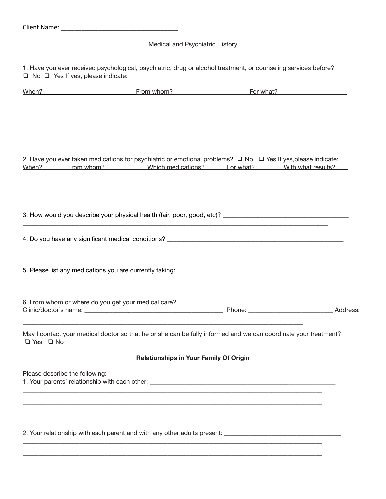### Medical and Psychiatric History

1. Have you ever received psychological, psychiatric, drug or alcohol treatment, or counseling services before? ❑ No ❑ Yes If yes, please indicate:

| When?                          | From whom?                                          | For what?                                                                                                               |  |
|--------------------------------|-----------------------------------------------------|-------------------------------------------------------------------------------------------------------------------------|--|
|                                |                                                     |                                                                                                                         |  |
|                                |                                                     |                                                                                                                         |  |
|                                |                                                     |                                                                                                                         |  |
|                                |                                                     | 2. Have you ever taken medications for psychiatric or emotional problems? $\Box$ No $\Box$ Yes If yes, please indicate: |  |
|                                |                                                     | When? From whom? Which medications? For what? With what results?                                                        |  |
|                                |                                                     |                                                                                                                         |  |
|                                |                                                     |                                                                                                                         |  |
|                                |                                                     |                                                                                                                         |  |
|                                |                                                     |                                                                                                                         |  |
|                                |                                                     |                                                                                                                         |  |
|                                |                                                     |                                                                                                                         |  |
|                                |                                                     |                                                                                                                         |  |
|                                | 6. From whom or where do you get your medical care? |                                                                                                                         |  |
|                                |                                                     |                                                                                                                         |  |
| $\Box$ Yes $\Box$ No           |                                                     | May I contact your medical doctor so that he or she can be fully informed and we can coordinate your treatment?         |  |
|                                | <b>Relationships in Your Family Of Origin</b>       |                                                                                                                         |  |
| Please describe the following: |                                                     |                                                                                                                         |  |
|                                |                                                     |                                                                                                                         |  |
|                                |                                                     |                                                                                                                         |  |
|                                |                                                     |                                                                                                                         |  |
|                                |                                                     |                                                                                                                         |  |

 $\_$  ,  $\_$  ,  $\_$  ,  $\_$  ,  $\_$  ,  $\_$  ,  $\_$  ,  $\_$  ,  $\_$  ,  $\_$  ,  $\_$  ,  $\_$  ,  $\_$  ,  $\_$  ,  $\_$  ,  $\_$  ,  $\_$  ,  $\_$  ,  $\_$  ,  $\_$  ,  $\_$  ,  $\_$  ,  $\_$  ,  $\_$  ,  $\_$  ,  $\_$  ,  $\_$  ,  $\_$  ,  $\_$  ,  $\_$  ,  $\_$  ,  $\_$  ,  $\_$  ,  $\_$  ,  $\_$  ,  $\_$  ,  $\_$  ,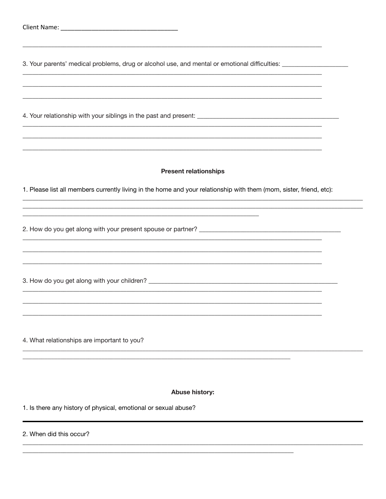| 3. Your parents' medical problems, drug or alcohol use, and mental or emotional difficulties: ________________                                      |  |
|-----------------------------------------------------------------------------------------------------------------------------------------------------|--|
|                                                                                                                                                     |  |
| <b>Present relationships</b><br>1. Please list all members currently living in the home and your relationship with them (mom, sister, friend, etc): |  |
|                                                                                                                                                     |  |
|                                                                                                                                                     |  |
| 4. What relationships are important to you?                                                                                                         |  |
| Abuse history:                                                                                                                                      |  |
| 1. Is there any history of physical, emotional or sexual abuse?                                                                                     |  |

#### 2. When did this occur?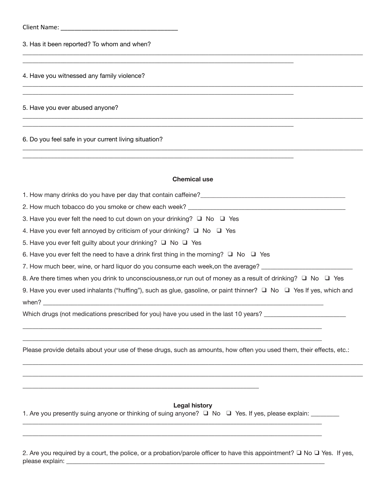Client Name: \_\_\_\_\_\_\_\_\_\_\_\_\_\_\_\_\_\_\_\_\_\_\_\_\_\_\_\_\_\_\_\_\_\_

3. Has it been reported? To whom and when?

\_\_\_\_\_\_\_\_\_\_\_\_\_\_\_\_\_\_\_\_\_\_\_\_\_\_\_\_\_\_\_\_\_\_\_\_\_\_\_\_\_\_\_\_\_\_\_\_\_\_\_\_\_\_\_\_\_\_\_\_\_\_\_\_\_\_\_\_\_\_\_\_\_\_\_\_\_\_\_\_\_\_\_\_\_\_

4. Have you witnessed any family violence?

\_\_\_\_\_\_\_\_\_\_\_\_\_\_\_\_\_\_\_\_\_\_\_\_\_\_\_\_\_\_\_\_\_\_\_\_\_\_\_\_\_\_\_\_\_\_\_\_\_\_\_\_\_\_\_\_\_\_\_\_\_\_\_\_\_\_\_\_\_\_\_\_\_\_\_\_\_\_\_\_\_\_\_\_\_\_\_\_\_\_\_\_\_\_\_\_\_\_\_\_\_\_\_\_\_\_\_\_

5. Have you ever abused anyone?

6. Do you feel safe in your current living situation?

#### **Chemical use**

\_\_\_\_\_\_\_\_\_\_\_\_\_\_\_\_\_\_\_\_\_\_\_\_\_\_\_\_\_\_\_\_\_\_\_\_\_\_\_\_\_\_\_\_\_\_\_\_\_\_\_\_\_\_\_\_\_\_\_\_\_\_\_\_\_\_\_\_\_\_\_\_\_\_\_\_\_\_\_\_\_\_\_\_\_\_\_\_\_\_\_\_\_\_\_\_\_\_\_\_\_\_\_\_\_\_\_\_

\_\_\_\_\_\_\_\_\_\_\_\_\_\_\_\_\_\_\_\_\_\_\_\_\_\_\_\_\_\_\_\_\_\_\_\_\_\_\_\_\_\_\_\_\_\_\_\_\_\_\_\_\_\_\_\_\_\_\_\_\_\_\_\_\_\_\_\_\_\_\_\_\_\_\_\_\_\_\_\_\_\_\_\_\_\_\_\_\_\_\_\_\_\_\_\_\_\_\_\_\_\_\_\_\_\_\_\_

\_\_\_\_\_\_\_\_\_\_\_\_\_\_\_\_\_\_\_\_\_\_\_\_\_\_\_\_\_\_\_\_\_\_\_\_\_\_\_\_\_\_\_\_\_\_\_\_\_\_\_\_\_\_\_\_\_\_\_\_\_\_\_\_\_\_\_\_\_\_\_\_\_\_\_\_\_\_\_\_\_\_\_\_\_\_\_\_\_\_\_\_\_\_\_\_\_\_\_\_\_\_\_\_\_\_\_\_

 $\mathcal{L}_\mathcal{L} = \mathcal{L}_\mathcal{L} = \mathcal{L}_\mathcal{L} = \mathcal{L}_\mathcal{L} = \mathcal{L}_\mathcal{L} = \mathcal{L}_\mathcal{L} = \mathcal{L}_\mathcal{L} = \mathcal{L}_\mathcal{L} = \mathcal{L}_\mathcal{L} = \mathcal{L}_\mathcal{L} = \mathcal{L}_\mathcal{L} = \mathcal{L}_\mathcal{L} = \mathcal{L}_\mathcal{L} = \mathcal{L}_\mathcal{L} = \mathcal{L}_\mathcal{L} = \mathcal{L}_\mathcal{L} = \mathcal{L}_\mathcal{L}$ 

\_\_\_\_\_\_\_\_\_\_\_\_\_\_\_\_\_\_\_\_\_\_\_\_\_\_\_\_\_\_\_\_\_\_\_\_\_\_\_\_\_\_\_\_\_\_\_\_\_\_\_\_\_\_\_\_\_\_\_\_\_\_\_\_\_\_\_\_\_\_\_\_\_\_\_\_\_\_\_\_\_\_\_\_\_\_

| 3. Have you ever felt the need to cut down on your drinking? $\Box$ No $\Box$ Yes                                             |
|-------------------------------------------------------------------------------------------------------------------------------|
| 4. Have you ever felt annoyed by criticism of your drinking? $\Box$ No $\Box$ Yes                                             |
| 5. Have you ever felt guilty about your drinking? $\Box$ No $\Box$ Yes                                                        |
| 6. Have you ever felt the need to have a drink first thing in the morning? $\Box$ No $\Box$ Yes                               |
| 7. How much beer, wine, or hard liquor do you consume each week, on the average? ___________________                          |
| 8. Are there times when you drink to unconsciousness, or run out of money as a result of drinking? $\Box$ No $\Box$ Yes       |
| 9. Have you ever used inhalants ("huffing"), such as glue, gasoline, or paint thinner? $\Box$ No $\Box$ Yes If yes, which and |
|                                                                                                                               |
| Which drugs (not medications prescribed for you) have you used in the last 10 years?                                          |
|                                                                                                                               |
|                                                                                                                               |
| Please provide details about your use of these drugs, such as amounts, how often you used them, their effects, etc.:          |

**Legal history**

\_\_\_\_\_\_\_\_\_\_\_\_\_\_\_\_\_\_\_\_\_\_\_\_\_\_\_\_\_\_\_\_\_\_\_\_\_\_\_\_\_\_\_\_\_\_\_\_\_\_\_\_\_\_\_\_\_\_\_\_\_\_\_\_\_\_\_\_\_\_\_\_\_\_\_\_\_\_\_\_\_\_\_\_\_\_\_\_\_\_\_\_\_\_\_

\_\_\_\_\_\_\_\_\_\_\_\_\_\_\_\_\_\_\_\_\_\_\_\_\_\_\_\_\_\_\_\_\_\_\_\_\_\_\_\_\_\_\_\_\_\_\_\_\_\_\_\_\_\_\_\_\_\_\_\_\_\_\_\_\_\_\_\_\_\_\_\_\_\_\_\_\_\_\_\_\_\_\_\_\_\_\_\_\_\_\_\_\_\_\_\_\_\_\_\_\_\_\_\_\_\_\_\_ \_\_\_\_\_\_\_\_\_\_\_\_\_\_\_\_\_\_\_\_\_\_\_\_\_\_\_\_\_\_\_\_\_\_\_\_\_\_\_\_\_\_\_\_\_\_\_\_\_\_\_\_\_\_\_\_\_\_\_\_\_\_\_\_\_\_\_\_\_\_\_\_\_\_\_\_\_\_\_\_\_\_\_\_\_\_\_\_\_\_\_\_\_\_\_\_\_\_\_\_\_\_\_\_\_\_\_\_

1. Are you presently suing anyone or thinking of suing anyone? ❑ No ❑ Yes. If yes, please explain: \_\_\_\_\_\_\_\_\_

 $\_$  ,  $\_$  ,  $\_$  ,  $\_$  ,  $\_$  ,  $\_$  ,  $\_$  ,  $\_$  ,  $\_$  ,  $\_$  ,  $\_$  ,  $\_$  ,  $\_$  ,  $\_$  ,  $\_$  ,  $\_$  ,  $\_$  ,  $\_$  ,  $\_$  ,  $\_$  ,  $\_$  ,  $\_$  ,  $\_$  ,  $\_$  ,  $\_$  ,  $\_$  ,  $\_$  ,  $\_$  ,  $\_$  ,  $\_$  ,  $\_$  ,  $\_$  ,  $\_$  ,  $\_$  ,  $\_$  ,  $\_$  ,  $\_$  ,

\_\_\_\_\_\_\_\_\_\_\_\_\_\_\_\_\_\_\_\_\_\_\_\_\_\_\_\_\_\_\_\_\_\_\_\_\_\_\_\_\_\_\_\_\_\_\_\_\_\_\_\_\_\_\_\_\_\_\_\_\_\_\_\_\_\_\_\_\_\_\_\_\_\_\_

2. Are you required by a court, the police, or a probation/parole officer to have this appointment? ❑ No ❑ Yes. If yes, please explain: \_\_\_\_\_\_\_\_\_\_\_\_\_\_\_\_\_\_\_\_\_\_\_\_\_\_\_\_\_\_\_\_\_\_\_\_\_\_\_\_\_\_\_\_\_\_\_\_\_\_\_\_\_\_\_\_\_\_\_\_\_\_\_\_\_\_\_\_\_\_\_\_\_\_\_\_\_\_\_\_\_\_